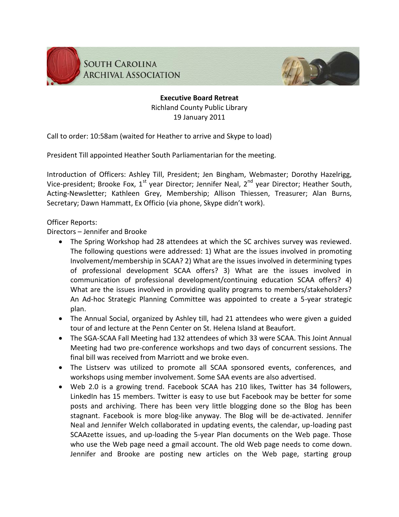



**Executive Board Retreat** Richland County Public Library 19 January 2011

Call to order: 10:58am (waited for Heather to arrive and Skype to load)

President Till appointed Heather South Parliamentarian for the meeting.

Introduction of Officers: Ashley Till, President; Jen Bingham, Webmaster; Dorothy Hazelrigg, Vice-president; Brooke Fox,  $1^{st}$  year Director; Jennifer Neal,  $2^{nd}$  year Director; Heather South, Acting-Newsletter; Kathleen Grey, Membership; Allison Thiessen, Treasurer; Alan Burns, Secretary; Dawn Hammatt, Ex Officio (via phone, Skype didn't work).

Officer Reports:

Directors – Jennifer and Brooke

- The Spring Workshop had 28 attendees at which the SC archives survey was reviewed. The following questions were addressed: 1) What are the issues involved in promoting Involvement/membership in SCAA? 2) What are the issues involved in determining types of professional development SCAA offers? 3) What are the issues involved in communication of professional development/continuing education SCAA offers? 4) What are the issues involved in providing quality programs to members/stakeholders? An Ad-hoc Strategic Planning Committee was appointed to create a 5-year strategic plan.
- The Annual Social, organized by Ashley till, had 21 attendees who were given a guided tour of and lecture at the Penn Center on St. Helena Island at Beaufort.
- The SGA-SCAA Fall Meeting had 132 attendees of which 33 were SCAA. This Joint Annual Meeting had two pre-conference workshops and two days of concurrent sessions. The final bill was received from Marriott and we broke even.
- The Listserv was utilized to promote all SCAA sponsored events, conferences, and workshops using member involvement. Some SAA events are also advertised.
- Web 2.0 is a growing trend. Facebook SCAA has 210 likes, Twitter has 34 followers, LinkedIn has 15 members. Twitter is easy to use but Facebook may be better for some posts and archiving. There has been very little blogging done so the Blog has been stagnant. Facebook is more blog-like anyway. The Blog will be de-activated. Jennifer Neal and Jennifer Welch collaborated in updating events, the calendar, up-loading past SCAAzette issues, and up-loading the 5-year Plan documents on the Web page. Those who use the Web page need a gmail account. The old Web page needs to come down. Jennifer and Brooke are posting new articles on the Web page, starting group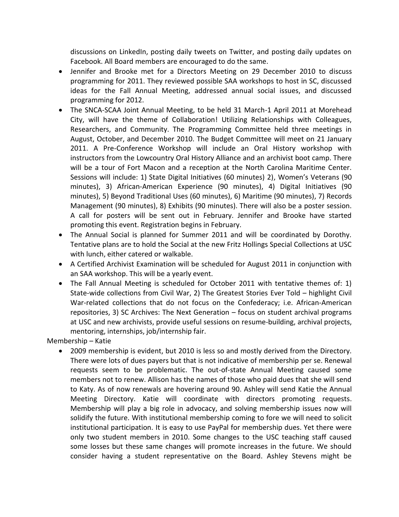discussions on LinkedIn, posting daily tweets on Twitter, and posting daily updates on Facebook. All Board members are encouraged to do the same.

- Jennifer and Brooke met for a Directors Meeting on 29 December 2010 to discuss programming for 2011. They reviewed possible SAA workshops to host in SC, discussed ideas for the Fall Annual Meeting, addressed annual social issues, and discussed programming for 2012.
- The SNCA-SCAA Joint Annual Meeting, to be held 31 March-1 April 2011 at Morehead City, will have the theme of Collaboration! Utilizing Relationships with Colleagues, Researchers, and Community. The Programming Committee held three meetings in August, October, and December 2010. The Budget Committee will meet on 21 January 2011. A Pre-Conference Workshop will include an Oral History workshop with instructors from the Lowcountry Oral History Alliance and an archivist boot camp. There will be a tour of Fort Macon and a reception at the North Carolina Maritime Center. Sessions will include: 1) State Digital Initiatives (60 minutes) 2), Women's Veterans (90 minutes), 3) African-American Experience (90 minutes), 4) Digital Initiatives (90 minutes), 5) Beyond Traditional Uses (60 minutes), 6) Maritime (90 minutes), 7) Records Management (90 minutes), 8) Exhibits (90 minutes). There will also be a poster session. A call for posters will be sent out in February. Jennifer and Brooke have started promoting this event. Registration begins in February.
- The Annual Social is planned for Summer 2011 and will be coordinated by Dorothy. Tentative plans are to hold the Social at the new Fritz Hollings Special Collections at USC with lunch, either catered or walkable.
- A Certified Archivist Examination will be scheduled for August 2011 in conjunction with an SAA workshop. This will be a yearly event.
- The Fall Annual Meeting is scheduled for October 2011 with tentative themes of: 1) State-wide collections from Civil War, 2) The Greatest Stories Ever Told – highlight Civil War-related collections that do not focus on the Confederacy; i.e. African-American repositories, 3) SC Archives: The Next Generation – focus on student archival programs at USC and new archivists, provide useful sessions on resume-building, archival projects, mentoring, internships, job/internship fair.

Membership – Katie

 2009 membership is evident, but 2010 is less so and mostly derived from the Directory. There were lots of dues payers but that is not indicative of membership per se. Renewal requests seem to be problematic. The out-of-state Annual Meeting caused some members not to renew. Allison has the names of those who paid dues that she will send to Katy. As of now renewals are hovering around 90. Ashley will send Katie the Annual Meeting Directory. Katie will coordinate with directors promoting requests. Membership will play a big role in advocacy, and solving membership issues now will solidify the future. With institutional membership coming to fore we will need to solicit institutional participation. It is easy to use PayPal for membership dues. Yet there were only two student members in 2010. Some changes to the USC teaching staff caused some losses but these same changes will promote increases in the future. We should consider having a student representative on the Board. Ashley Stevens might be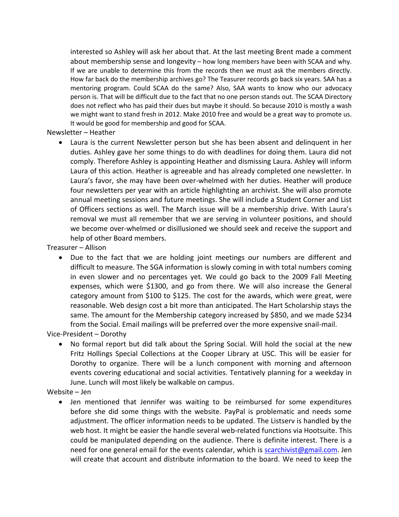interested so Ashley will ask her about that. At the last meeting Brent made a comment about membership sense and longevity – how long members have been with SCAA and why. If we are unable to determine this from the records then we must ask the members directly. How far back do the membership archives go? The Teasurer records go back six years. SAA has a mentoring program. Could SCAA do the same? Also, SAA wants to know who our advocacy person is. That will be difficult due to the fact that no one person stands out. The SCAA Directory does not reflect who has paid their dues but maybe it should. So because 2010 is mostly a wash we might want to stand fresh in 2012. Make 2010 free and would be a great way to promote us. It would be good for membership and good for SCAA.

## Newsletter – Heather

 Laura is the current Newsletter person but she has been absent and delinquent in her duties. Ashley gave her some things to do with deadlines for doing them. Laura did not comply. Therefore Ashley is appointing Heather and dismissing Laura. Ashley will inform Laura of this action. Heather is agreeable and has already completed one newsletter. In Laura's favor, she may have been over-whelmed with her duties. Heather will produce four newsletters per year with an article highlighting an archivist. She will also promote annual meeting sessions and future meetings. She will include a Student Corner and List of Officers sections as well. The March issue will be a membership drive. With Laura's removal we must all remember that we are serving in volunteer positions, and should we become over-whelmed or disillusioned we should seek and receive the support and help of other Board members.

Treasurer – Allison

 Due to the fact that we are holding joint meetings our numbers are different and difficult to measure. The SGA information is slowly coming in with total numbers coming in even slower and no percentages yet. We could go back to the 2009 Fall Meeting expenses, which were \$1300, and go from there. We will also increase the General category amount from \$100 to \$125. The cost for the awards, which were great, were reasonable. Web design cost a bit more than anticipated. The Hart Scholarship stays the same. The amount for the Membership category increased by \$850, and we made \$234 from the Social. Email mailings will be preferred over the more expensive snail-mail.

Vice-President – Dorothy

 No formal report but did talk about the Spring Social. Will hold the social at the new Fritz Hollings Special Collections at the Cooper Library at USC. This will be easier for Dorothy to organize. There will be a lunch component with morning and afternoon events covering educational and social activities. Tentatively planning for a weekday in June. Lunch will most likely be walkable on campus.

Website – Jen

 Jen mentioned that Jennifer was waiting to be reimbursed for some expenditures before she did some things with the website. PayPal is problematic and needs some adjustment. The officer information needs to be updated. The Listserv is handled by the web host. It might be easier the handle several web-related functions via Hootsuite. This could be manipulated depending on the audience. There is definite interest. There is a need for one general email for the events calendar, which is [scarchivist@gmail.com.](mailto:scarchivist@gmail.com) Jen will create that account and distribute information to the board. We need to keep the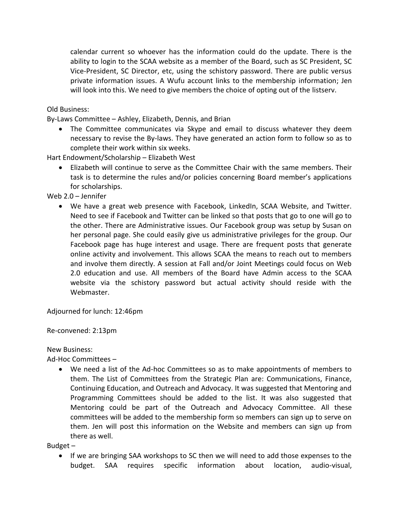calendar current so whoever has the information could do the update. There is the ability to login to the SCAA website as a member of the Board, such as SC President, SC Vice-President, SC Director, etc, using the schistory password. There are public versus private information issues. A Wufu account links to the membership information; Jen will look into this. We need to give members the choice of opting out of the listserv.

Old Business:

By-Laws Committee – Ashley, Elizabeth, Dennis, and Brian

 The Committee communicates via Skype and email to discuss whatever they deem necessary to revise the By-laws. They have generated an action form to follow so as to complete their work within six weeks.

Hart Endowment/Scholarship – Elizabeth West

 Elizabeth will continue to serve as the Committee Chair with the same members. Their task is to determine the rules and/or policies concerning Board member's applications for scholarships.

Web 2.0 – Jennifer

 We have a great web presence with Facebook, LinkedIn, SCAA Website, and Twitter. Need to see if Facebook and Twitter can be linked so that posts that go to one will go to the other. There are Administrative issues. Our Facebook group was setup by Susan on her personal page. She could easily give us administrative privileges for the group. Our Facebook page has huge interest and usage. There are frequent posts that generate online activity and involvement. This allows SCAA the means to reach out to members and involve them directly. A session at Fall and/or Joint Meetings could focus on Web 2.0 education and use. All members of the Board have Admin access to the SCAA website via the schistory password but actual activity should reside with the Webmaster.

Adjourned for lunch: 12:46pm

Re-convened: 2:13pm

New Business:

Ad-Hoc Committees –

 We need a list of the Ad-hoc Committees so as to make appointments of members to them. The List of Committees from the Strategic Plan are: Communications, Finance, Continuing Education, and Outreach and Advocacy. It was suggested that Mentoring and Programming Committees should be added to the list. It was also suggested that Mentoring could be part of the Outreach and Advocacy Committee. All these committees will be added to the membership form so members can sign up to serve on them. Jen will post this information on the Website and members can sign up from there as well.

Budget –

• If we are bringing SAA workshops to SC then we will need to add those expenses to the budget. SAA requires specific information about location, audio-visual,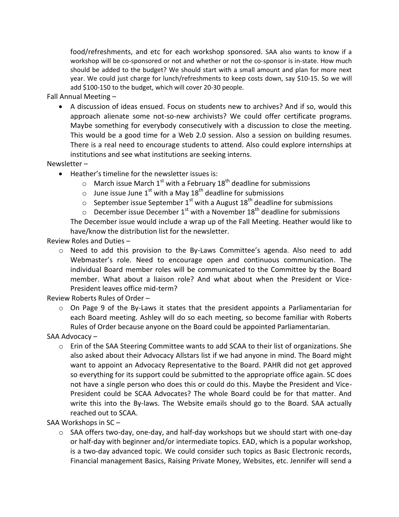food/refreshments, and etc for each workshop sponsored. SAA also wants to know if a workshop will be co-sponsored or not and whether or not the co-sponsor is in-state. How much should be added to the budget? We should start with a small amount and plan for more next year. We could just charge for lunch/refreshments to keep costs down, say \$10-15. So we will add \$100-150 to the budget, which will cover 20-30 people.

Fall Annual Meeting –

 A discussion of ideas ensued. Focus on students new to archives? And if so, would this approach alienate some not-so-new archivists? We could offer certificate programs. Maybe something for everybody consecutively with a discussion to close the meeting. This would be a good time for a Web 2.0 session. Also a session on building resumes. There is a real need to encourage students to attend. Also could explore internships at institutions and see what institutions are seeking interns.

Newsletter –

- Heather's timeline for the newsletter issues is:
	- $\circ$  March issue March 1<sup>st</sup> with a February 18<sup>th</sup> deadline for submissions
	- $\circ$  June issue June 1<sup>st</sup> with a May 18<sup>th</sup> deadline for submissions
	- $\circ$  September issue September 1<sup>st</sup> with a August 18<sup>th</sup> deadline for submissions
	- $\circ$  December issue December 1<sup>st</sup> with a November 18<sup>th</sup> deadline for submissions

The December issue would include a wrap up of the Fall Meeting. Heather would like to have/know the distribution list for the newsletter.

Review Roles and Duties –

o Need to add this provision to the By-Laws Committee's agenda. Also need to add Webmaster's role. Need to encourage open and continuous communication. The individual Board member roles will be communicated to the Committee by the Board member. What about a liaison role? And what about when the President or Vice-President leaves office mid-term?

Review Roberts Rules of Order –

 $\circ$  On Page 9 of the By-Laws it states that the president appoints a Parliamentarian for each Board meeting. Ashley will do so each meeting, so become familiar with Roberts Rules of Order because anyone on the Board could be appointed Parliamentarian.

SAA Advocacy –

o Erin of the SAA Steering Committee wants to add SCAA to their list of organizations. She also asked about their Advocacy Allstars list if we had anyone in mind. The Board might want to appoint an Advocacy Representative to the Board. PAHR did not get approved so everything for its support could be submitted to the appropriate office again. SC does not have a single person who does this or could do this. Maybe the President and Vice-President could be SCAA Advocates? The whole Board could be for that matter. And write this into the By-laws. The Website emails should go to the Board. SAA actually reached out to SCAA.

SAA Workshops in SC –

 $\circ$  SAA offers two-day, one-day, and half-day workshops but we should start with one-day or half-day with beginner and/or intermediate topics. EAD, which is a popular workshop, is a two-day advanced topic. We could consider such topics as Basic Electronic records, Financial management Basics, Raising Private Money, Websites, etc. Jennifer will send a